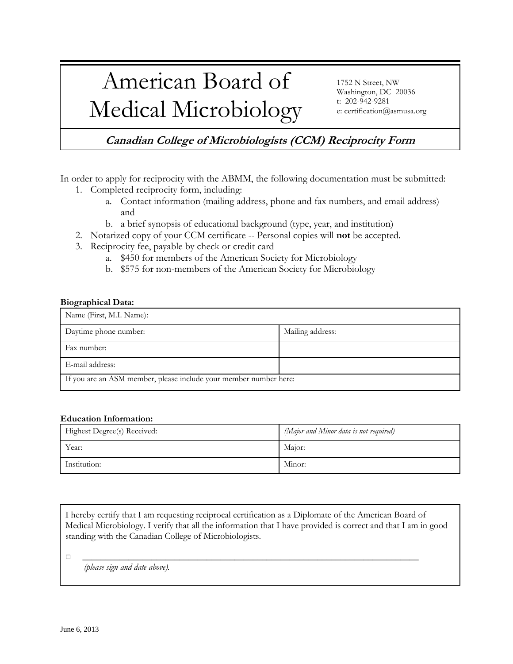## American Board of Medical Microbiology

1752 N Street, NW Washington, DC 20036 t: 202-942-9281 e: certification@asmusa.org

**Canadian College of Microbiologists (CCM) Reciprocity Form**

In order to apply for reciprocity with the ABMM, the following documentation must be submitted:

- 1. Completed reciprocity form, including:
	- a. Contact information (mailing address, phone and fax numbers, and email address) and
	- b. a brief synopsis of educational background (type, year, and institution)
- 2. Notarized copy of your CCM certificate -- Personal copies will **not** be accepted.
- 3. Reciprocity fee, payable by check or credit card
	- a. \$450 for members of the American Society for Microbiology
	- b. \$575 for non-members of the American Society for Microbiology

## **Biographical Data:**

| Name (First, M.I. Name):                                          |                  |  |
|-------------------------------------------------------------------|------------------|--|
| Daytime phone number:                                             | Mailing address: |  |
| Fax number:                                                       |                  |  |
| E-mail address:                                                   |                  |  |
| If you are an ASM member, please include your member number here: |                  |  |

## **Education Information:**

| Highest Degree(s) Received: | (Major and Minor data is not required) |
|-----------------------------|----------------------------------------|
| Year:                       | Major:                                 |
| Institution:                | Minor:                                 |

I hereby certify that I am requesting reciprocal certification as a Diplomate of the American Board of Medical Microbiology. I verify that all the information that I have provided is correct and that I am in good standing with the Canadian College of Microbiologists.

□ \_\_\_\_\_\_\_\_\_\_\_\_\_\_\_\_\_\_\_\_\_\_\_\_\_\_\_\_\_\_\_\_\_\_\_\_\_\_\_\_\_\_\_\_\_\_\_\_\_\_\_\_\_\_\_\_\_\_\_\_\_\_\_\_\_\_\_\_\_\_\_\_\_

*(please sign and date above).*